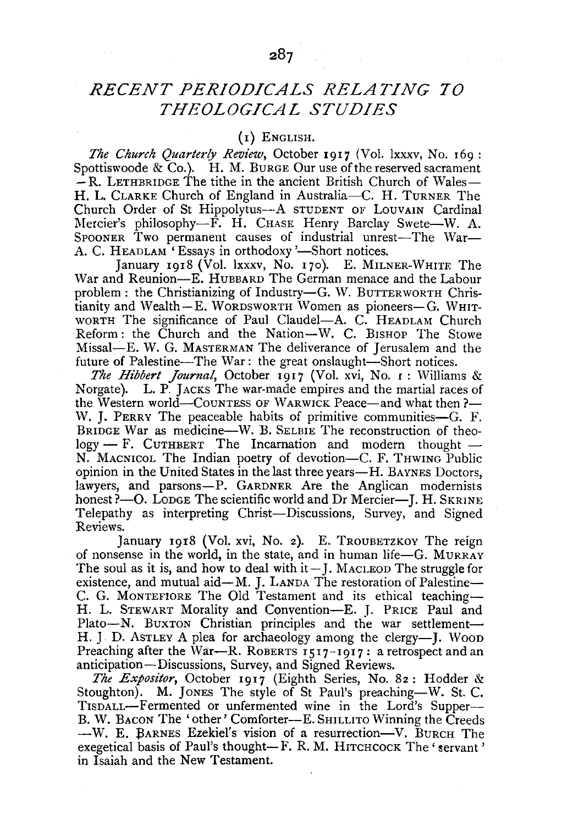## *RECENT PERIODICALS RELATING TO THEOLOGICAL STUDIES*

## (I) ENGLISH.

The Church Quarterly Review, October 1917 (Vol. lxxxv, No. 169: Spottiswoode & Co.). H. M. BURGE Our use of the reserved sacrament  $-R$ . LETHBRIDGE The tithe in the ancient British Church of Wales-H. L. CLARKE Church of England in Australia-C. H. TURNER The Church Order of St Hippolytus-A STUDENT OF LOUVAIN Cardinal Mercier's philosophy-F. H. CHASE Henry Barclay Swete-W. A. SPOONER Two permanent causes of industrial unrest-The War-A. C. HEADLAM 'Essays in orthodoxy '-Short notices.

January 1918 (Vol. lxxxv, No. 170). E. MILNER-WHITE The War and Reunion-E. HUBBARD The German menace and the Labour problem: the Christianizing of Industry-G. W. BUTTERWORTH Chris $t$ ianity and Wealth $-E$ . WORDSWORTH Women as pioneers-G. WHIT-WORTH The significance of Paul Claudel-A. C. HEADLAM Church Reform: the Church and the Nation-W. C. BISHOP The Stowe Missal-E. W. G. MASTERMAN The deliverance of Jerusalem and the future of Palestine—The War: the great onslaught—Short notices.

*The Hibbert Journal*, October 1917 (Vol. xvi, No. 1: Williams & Norgate). L. P. Jacks The war-made empires and the martial races of L. P. JACKS The war-made empires and the martial races of the Western world—COUNTESS OF WARWICK Peace—and what then ?-W. I. PERRY The peaceable habits of primitive communities—G. F. BRIDGE War as medicine—W. B. SELBIE The reconstruction of theo $log y - F$ . CUTHBERT The Incarnation and modern thought  $-$ N. MACNICOL The Indian poetry of devotion-C. F. THWING Public opinion in the United States in the last three years-H. BAYNES Doctors, lawyers, and parsons-P. GARDNER Are the Anglican modernists honest ?- O. LODGE The scientific world and Dr Mercier-J. H. SKRINE Telepathy as interpreting Christ-Discussions, Survey, and Signed Reviews.

January 1918 (Vol. xvi, No. 2). E. TROUBETZKOY The reign of nonsense in the world, in the state, and in human life-G. MuRRAY The soul as it is, and how to deal with  $it-$  J. MacLEOD The struggle for existence, and mutual aid-M. J. LANDA The restoration of Palestine-C. G. MoNTEFIORE The Old Testament and its ethical teaching-H. L. STEWART Morality and Convention-E. J. PRICE Paul and Plato-N. BuxTON Christian principles and the war settlement-H. J. D. AsTLEY A plea for archaeology among the clergy-I. Wood Preaching after the War-R. ROBERTS  $1517 - 1917$ : a retrospect and an anticipation-Discussions, Survey, and Signed Reviews.

*The Expositor,* October 1917 (Eighth Series, No. 82: Hodder & Stoughton). M. JONES The style of St Paul's preaching-W. St. C. TISDALL-Fermented or unfermented wine in the Lord's Supper-B. W. BACON The 'other' Comforter-E. SHILLITO Winning the Creeds -W. E. BARNES Ezekiel's vision of a resurrection-V. BURCH The exegetical basis of Paul's thought-F. R. M. HITCHCOCK The 'servant' in Isaiah and the New Testament.